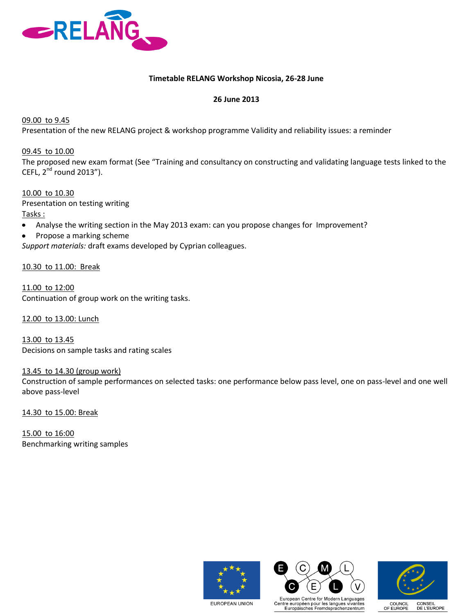

## **Timetable RELANG Workshop Nicosia, 26-28 June**

## **26 June 2013**

09.00 to 9.45

Presentation of the new RELANG project & workshop programme Validity and reliability issues: a reminder

09.45 to 10.00

The proposed new exam format (See "Training and consultancy on constructing and validating language tests linked to the CEFL,  $2^{nd}$  round 2013").

10.00 to 10.30 Presentation on testing writing Tasks :

Analyse the writing section in the May 2013 exam: can you propose changes for Improvement?  $\bullet$ 

Propose a marking scheme  $\bullet$ 

*Support materials:* draft exams developed by Cyprian colleagues.

10.30 to 11.00: Break

11.00 to 12:00 Continuation of group work on the writing tasks.

12.00 to 13.00: Lunch

13.00 to 13.45 Decisions on sample tasks and rating scales

13.45 to 14.30 (group work)

Construction of sample performances on selected tasks: one performance below pass level, one on pass-level and one well above pass-level

14.30 to 15.00: Break

15.00 to 16:00 Benchmarking writing samples







**EUROPEAN UNION**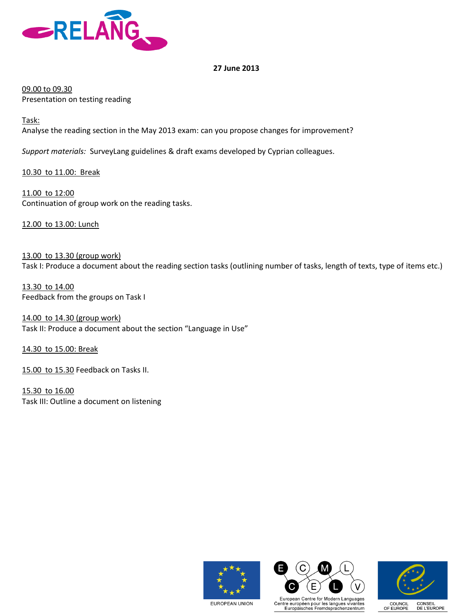

## **27 June 2013**

09.00 to 09.30 Presentation on testing reading

Task: Analyse the reading section in the May 2013 exam: can you propose changes for improvement?

*Support materials:* SurveyLang guidelines & draft exams developed by Cyprian colleagues.

10.30 to 11.00: Break

11.00 to 12:00 Continuation of group work on the reading tasks.

12.00 to 13.00: Lunch

13.00 to 13.30 (group work) Task I: Produce a document about the reading section tasks (outlining number of tasks, length of texts, type of items etc.)

13.30 to 14.00 Feedback from the groups on Task I

14.00 to 14.30 (group work) Task II: Produce a document about the section "Language in Use"

14.30 to 15.00: Break

15.00 to 15.30 Feedback on Tasks II.

15.30 to 16.00 Task III: Outline a document on listening







**EUROPEAN UNION**